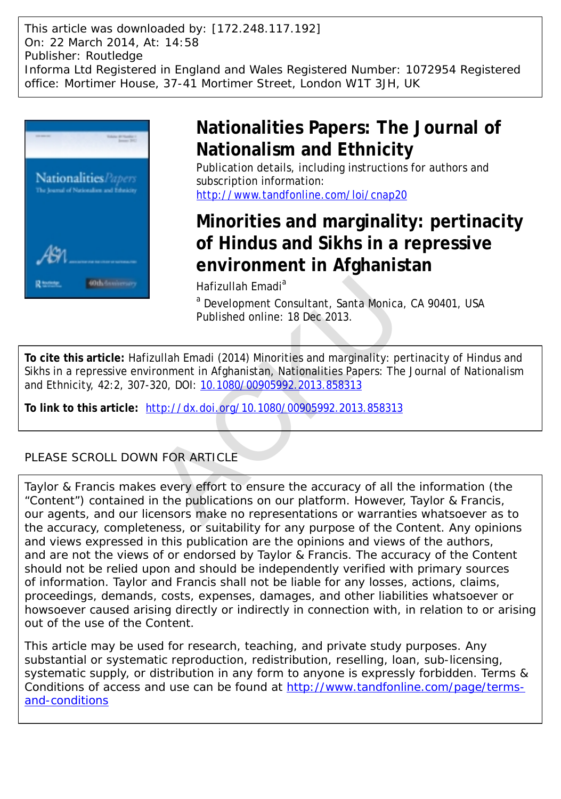This article was downloaded by: [172.248.117.192] On: 22 March 2014, At: 14:58 Publisher: Routledge Informa Ltd Registered in England and Wales Registered Number: 1072954 Registered office: Mortimer House, 37-41 Mortimer Street, London W1T 3JH, UK



# **Nationalities Papers: The Journal of Nationalism and Ethnicity**

Publication details, including instructions for authors and subscription information: <http://www.tandfonline.com/loi/cnap20>

# **Minorities and marginality: pertinacity of Hindus and Sikhs in a repressive environment in Afghanistan**

Hafizullah Emadi<sup>a</sup>

<sup>a</sup> Development Consultant, Santa Monica, CA 90401, USA Published online: 18 Dec 2013.

**To cite this article:** Hafizullah Emadi (2014) Minorities and marginality: pertinacity of Hindus and Sikhs in a repressive environment in Afghanistan, Nationalities Papers: The Journal of Nationalism and Ethnicity, 42:2, 307-320, DOI: [10.1080/00905992.2013.858313](http://www.tandfonline.com/action/showCitFormats?doi=10.1080/00905992.2013.858313)

**To link to this article:** <http://dx.doi.org/10.1080/00905992.2013.858313>

# PLEASE SCROLL DOWN FOR ARTICLE

Taylor & Francis makes every effort to ensure the accuracy of all the information (the "Content") contained in the publications on our platform. However, Taylor & Francis, our agents, and our licensors make no representations or warranties whatsoever as to the accuracy, completeness, or suitability for any purpose of the Content. Any opinions and views expressed in this publication are the opinions and views of the authors, and are not the views of or endorsed by Taylor & Francis. The accuracy of the Content should not be relied upon and should be independently verified with primary sources of information. Taylor and Francis shall not be liable for any losses, actions, claims, proceedings, demands, costs, expenses, damages, and other liabilities whatsoever or howsoever caused arising directly or indirectly in connection with, in relation to or arising out of the use of the Content. Hafizullah Emadi<sup>a</sup><br><sup>a</sup> Development Consultant, Santa Monica<br>Published online: 18 Dec 2013.<br><br>zullah Emadi (2014) Minorities and marginality: per<br>ironment in Afghanistan, Nationalities Papers: The<br>320, DOI: <u>10.1080/0090599</u>

This article may be used for research, teaching, and private study purposes. Any substantial or systematic reproduction, redistribution, reselling, loan, sub-licensing, systematic supply, or distribution in any form to anyone is expressly forbidden. Terms & Conditions of access and use can be found at [http://www.tandfonline.com/page/terms](http://www.tandfonline.com/page/terms-and-conditions)[and-conditions](http://www.tandfonline.com/page/terms-and-conditions)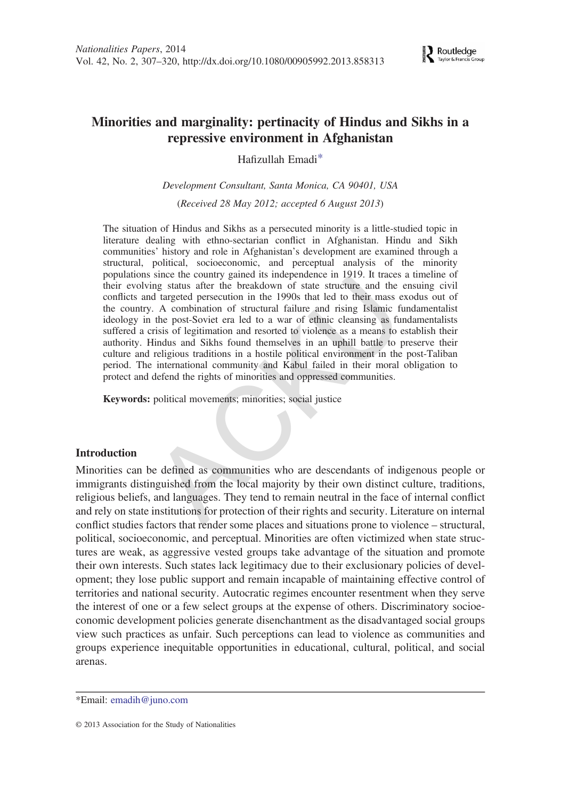# Minorities and marginality: pertinacity of Hindus and Sikhs in a repressive environment in Afghanistan

Hafizullah Emadi\*

Development Consultant, Santa Monica, CA 90401, USA (Received 28 May 2012; accepted 6 August 2013)

The situation of Hindus and Sikhs as a persecuted minority is a little-studied topic in literature dealing with ethno-sectarian conflict in Afghanistan. Hindu and Sikh communities' history and role in Afghanistan's development are examined through a structural, political, socioeconomic, and perceptual analysis of the minority populations since the country gained its independence in 1919. It traces a timeline of their evolving status after the breakdown of state structure and the ensuing civil conflicts and targeted persecution in the 1990s that led to their mass exodus out of the country. A combination of structural failure and rising Islamic fundamentalist ideology in the post-Soviet era led to a war of ethnic cleansing as fundamentalists suffered a crisis of legitimation and resorted to violence as a means to establish their authority. Hindus and Sikhs found themselves in an uphill battle to preserve their culture and religious traditions in a hostile political environment in the post-Taliban period. The international community and Kabul failed in their moral obligation to protect and defend the rights of minorities and oppressed communities. Since the collainty game and is incept<br>and the prediction in the 1990s that led to their mass of<br>the diatered persecution in the 1990s that led to their mass of<br>the post-Soviet era led to a war of ethnic cleansing as furth

Keywords: political movements; minorities; social justice

# Introduction

Minorities can be defined as communities who are descendants of indigenous people or immigrants distinguished from the local majority by their own distinct culture, traditions, religious beliefs, and languages. They tend to remain neutral in the face of internal conflict and rely on state institutions for protection of their rights and security. Literature on internal conflict studies factors that render some places and situations prone to violence – structural, political, socioeconomic, and perceptual. Minorities are often victimized when state structures are weak, as aggressive vested groups take advantage of the situation and promote their own interests. Such states lack legitimacy due to their exclusionary policies of development; they lose public support and remain incapable of maintaining effective control of territories and national security. Autocratic regimes encounter resentment when they serve the interest of one or a few select groups at the expense of others. Discriminatory socioeconomic development policies generate disenchantment as the disadvantaged social groups view such practices as unfair. Such perceptions can lead to violence as communities and groups experience inequitable opportunities in educational, cultural, political, and social arenas.

<sup>\*</sup>Email: [emadih@juno.com](mailto:emadih@juno.com)

<sup>© 2013</sup> Association for the Study of Nationalities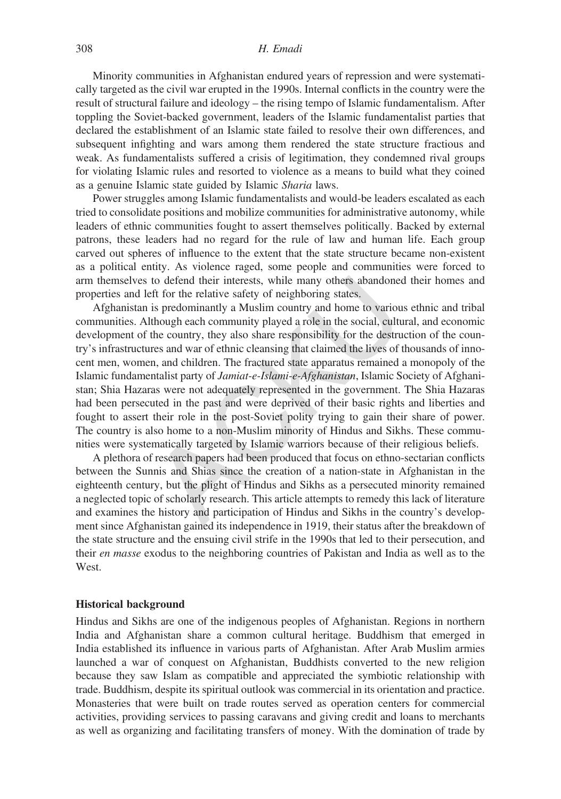Minority communities in Afghanistan endured years of repression and were systematically targeted as the civil war erupted in the 1990s. Internal conflicts in the country were the result of structural failure and ideology – the rising tempo of Islamic fundamentalism. After toppling the Soviet-backed government, leaders of the Islamic fundamentalist parties that declared the establishment of an Islamic state failed to resolve their own differences, and subsequent infighting and wars among them rendered the state structure fractious and weak. As fundamentalists suffered a crisis of legitimation, they condemned rival groups for violating Islamic rules and resorted to violence as a means to build what they coined as a genuine Islamic state guided by Islamic Sharia laws.

Power struggles among Islamic fundamentalists and would-be leaders escalated as each tried to consolidate positions and mobilize communities for administrative autonomy, while leaders of ethnic communities fought to assert themselves politically. Backed by external patrons, these leaders had no regard for the rule of law and human life. Each group carved out spheres of influence to the extent that the state structure became non-existent as a political entity. As violence raged, some people and communities were forced to arm themselves to defend their interests, while many others abandoned their homes and properties and left for the relative safety of neighboring states.

Afghanistan is predominantly a Muslim country and home to various ethnic and tribal communities. Although each community played a role in the social, cultural, and economic development of the country, they also share responsibility for the destruction of the country's infrastructures and war of ethnic cleansing that claimed the lives of thousands of innocent men, women, and children. The fractured state apparatus remained a monopoly of the Islamic fundamentalist party of Jamiat-e-Islami-e-Afghanistan, Islamic Society of Afghanistan; Shia Hazaras were not adequately represented in the government. The Shia Hazaras had been persecuted in the past and were deprived of their basic rights and liberties and fought to assert their role in the post-Soviet polity trying to gain their share of power. The country is also home to a non-Muslim minority of Hindus and Sikhs. These communities were systematically targeted by Islamic warriors because of their religious beliefs. to defend their interests, while many others abandones<br>ft for the relative safety of neighboring states.<br>is predominantly a Muslim country and home to variou<br>though each community played a role in the social, cult<br>the cou

A plethora of research papers had been produced that focus on ethno-sectarian conflicts between the Sunnis and Shias since the creation of a nation-state in Afghanistan in the eighteenth century, but the plight of Hindus and Sikhs as a persecuted minority remained a neglected topic of scholarly research. This article attempts to remedy this lack of literature and examines the history and participation of Hindus and Sikhs in the country's development since Afghanistan gained its independence in 1919, their status after the breakdown of the state structure and the ensuing civil strife in the 1990s that led to their persecution, and their en masse exodus to the neighboring countries of Pakistan and India as well as to the West.

#### Historical background

Hindus and Sikhs are one of the indigenous peoples of Afghanistan. Regions in northern India and Afghanistan share a common cultural heritage. Buddhism that emerged in India established its influence in various parts of Afghanistan. After Arab Muslim armies launched a war of conquest on Afghanistan, Buddhists converted to the new religion because they saw Islam as compatible and appreciated the symbiotic relationship with trade. Buddhism, despite its spiritual outlook was commercial in its orientation and practice. Monasteries that were built on trade routes served as operation centers for commercial activities, providing services to passing caravans and giving credit and loans to merchants as well as organizing and facilitating transfers of money. With the domination of trade by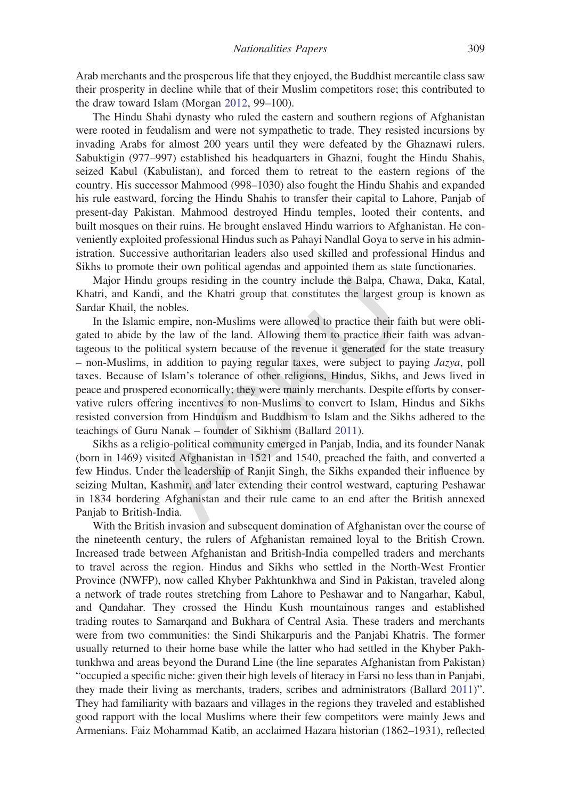Arab merchants and the prosperous life that they enjoyed, the Buddhist mercantile class saw their prosperity in decline while that of their Muslim competitors rose; this contributed to the draw toward Islam (Morgan [2012,](#page-14-0) 99–100).

The Hindu Shahi dynasty who ruled the eastern and southern regions of Afghanistan were rooted in feudalism and were not sympathetic to trade. They resisted incursions by invading Arabs for almost 200 years until they were defeated by the Ghaznawi rulers. Sabuktigin (977–997) established his headquarters in Ghazni, fought the Hindu Shahis, seized Kabul (Kabulistan), and forced them to retreat to the eastern regions of the country. His successor Mahmood (998–1030) also fought the Hindu Shahis and expanded his rule eastward, forcing the Hindu Shahis to transfer their capital to Lahore, Panjab of present-day Pakistan. Mahmood destroyed Hindu temples, looted their contents, and built mosques on their ruins. He brought enslaved Hindu warriors to Afghanistan. He conveniently exploited professional Hindus such as Pahayi Nandlal Goya to serve in his administration. Successive authoritarian leaders also used skilled and professional Hindus and Sikhs to promote their own political agendas and appointed them as state functionaries.

Major Hindu groups residing in the country include the Balpa, Chawa, Daka, Katal, Khatri, and Kandi, and the Khatri group that constitutes the largest group is known as Sardar Khail, the nobles.

In the Islamic empire, non-Muslims were allowed to practice their faith but were obligated to abide by the law of the land. Allowing them to practice their faith was advantageous to the political system because of the revenue it generated for the state treasury – non-Muslims, in addition to paying regular taxes, were subject to paying Jazya, poll taxes. Because of Islam's tolerance of other religions, Hindus, Sikhs, and Jews lived in peace and prospered economically; they were mainly merchants. Despite efforts by conservative rulers offering incentives to non-Muslims to convert to Islam, Hindus and Sikhs resisted conversion from Hinduism and Buddhism to Islam and the Sikhs adhered to the teachings of Guru Nanak – founder of Sikhism (Ballard [2011\)](#page-14-0). I groups residing in the country include the Balpa, Ch<br>di, and the Khatri group that constitutes the largest g<br>e nobles.<br>c empire, non-Muslims were allowed to practice their fi<br>by the law of the land. Allowing them to prac

Sikhs as a religio-political community emerged in Panjab, India, and its founder Nanak (born in 1469) visited Afghanistan in 1521 and 1540, preached the faith, and converted a few Hindus. Under the leadership of Ranjit Singh, the Sikhs expanded their influence by seizing Multan, Kashmir, and later extending their control westward, capturing Peshawar in 1834 bordering Afghanistan and their rule came to an end after the British annexed Panjab to British-India.

With the British invasion and subsequent domination of Afghanistan over the course of the nineteenth century, the rulers of Afghanistan remained loyal to the British Crown. Increased trade between Afghanistan and British-India compelled traders and merchants to travel across the region. Hindus and Sikhs who settled in the North-West Frontier Province (NWFP), now called Khyber Pakhtunkhwa and Sind in Pakistan, traveled along a network of trade routes stretching from Lahore to Peshawar and to Nangarhar, Kabul, and Qandahar. They crossed the Hindu Kush mountainous ranges and established trading routes to Samarqand and Bukhara of Central Asia. These traders and merchants were from two communities: the Sindi Shikarpuris and the Panjabi Khatris. The former usually returned to their home base while the latter who had settled in the Khyber Pakhtunkhwa and areas beyond the Durand Line (the line separates Afghanistan from Pakistan) "occupied a specific niche: given their high levels of literacy in Farsi no less than in Panjabi, they made their living as merchants, traders, scribes and administrators (Ballard [2011](#page-14-0))". They had familiarity with bazaars and villages in the regions they traveled and established good rapport with the local Muslims where their few competitors were mainly Jews and Armenians. Faiz Mohammad Katib, an acclaimed Hazara historian (1862–1931), reflected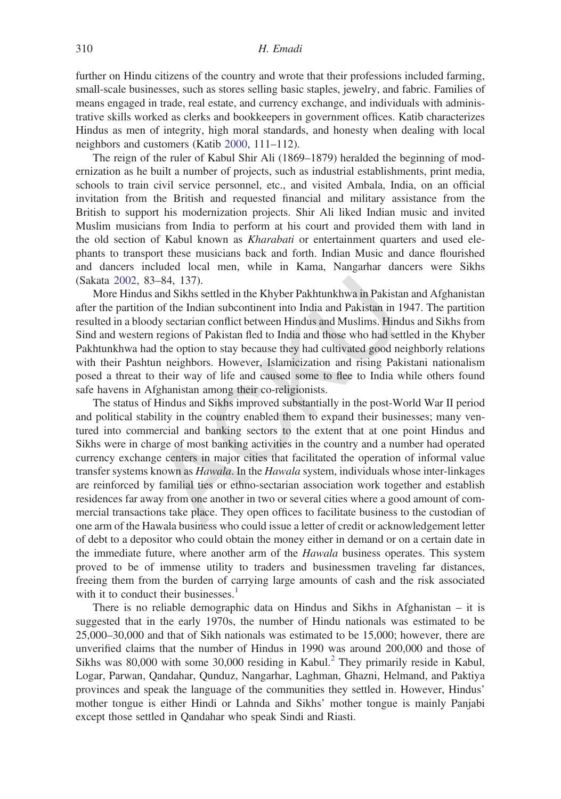#### $310$  H. Emadi

further on Hindu citizens of the country and wrote that their professions included farming, small-scale businesses, such as stores selling basic staples, jewelry, and fabric. Families of means engaged in trade, real estate, and currency exchange, and individuals with administrative skills worked as clerks and bookkeepers in government offices. Katib characterizes Hindus as men of integrity, high moral standards, and honesty when dealing with local neighbors and customers (Katib [2000,](#page-14-0) 111–112).

The reign of the ruler of Kabul Shir Ali (1869–1879) heralded the beginning of modernization as he built a number of projects, such as industrial establishments, print media, schools to train civil service personnel, etc., and visited Ambala, India, on an official invitation from the British and requested financial and military assistance from the British to support his modernization projects. Shir Ali liked Indian music and invited Muslim musicians from India to perform at his court and provided them with land in the old section of Kabul known as *Kharabati* or entertainment quarters and used elephants to transport these musicians back and forth. Indian Music and dance flourished and dancers included local men, while in Kama, Nangarhar dancers were Sikhs (Sakata [2002](#page-14-0), 83–84, 137).

More Hindus and Sikhs settled in the Khyber Pakhtunkhwa in Pakistan and Afghanistan after the partition of the Indian subcontinent into India and Pakistan in 1947. The partition resulted in a bloody sectarian conflict between Hindus and Muslims. Hindus and Sikhs from Sind and western regions of Pakistan fled to India and those who had settled in the Khyber Pakhtunkhwa had the option to stay because they had cultivated good neighborly relations with their Pashtun neighbors. However, Islamicization and rising Pakistani nationalism posed a threat to their way of life and caused some to flee to India while others found safe havens in Afghanistan among their co-religionists.

The status of Hindus and Sikhs improved substantially in the post-World War II period and political stability in the country enabled them to expand their businesses; many ventured into commercial and banking sectors to the extent that at one point Hindus and Sikhs were in charge of most banking activities in the country and a number had operated currency exchange centers in major cities that facilitated the operation of informal value transfer systems known as Hawala. In the Hawala system, individuals whose inter-linkages are reinforced by familial ties or ethno-sectarian association work together and establish residences far away from one another in two or several cities where a good amount of commercial transactions take place. They open offices to facilitate business to the custodian of one arm of the Hawala business who could issue a letter of credit or acknowledgement letter of debt to a depositor who could obtain the money either in demand or on a certain date in the immediate future, where another arm of the *Hawala* business operates. This system proved to be of immense utility to traders and businessmen traveling far distances, freeing them from the burden of carrying large amounts of cash and the risk associated with it to conduct their businesses. $<sup>1</sup>$ </sup> 3–84, 137).<br>
Sand Sikhs settled in the Khyber Pakhtunkhwa in Pakista<br>
n of the Indian subcontinent into India and Pakistan in 1<br>
ndy sectarian conflict between Hindus and Muslims. Hind<br>
n regions of Pakistan fied to India

There is no reliable demographic data on Hindus and Sikhs in Afghanistan – it is suggested that in the early 1970s, the number of Hindu nationals was estimated to be 25,000–30,000 and that of Sikh nationals was estimated to be 15,000; however, there are unverified claims that the number of Hindus in 1990 was around 200,000 and those of Sikhs was 80,000 with some 30,000 residing in Kabul.<sup>[2](#page-14-0)</sup> They primarily reside in Kabul, Logar, Parwan, Qandahar, Qunduz, Nangarhar, Laghman, Ghazni, Helmand, and Paktiya provinces and speak the language of the communities they settled in. However, Hindus' mother tongue is either Hindi or Lahnda and Sikhs' mother tongue is mainly Panjabi except those settled in Qandahar who speak Sindi and Riasti.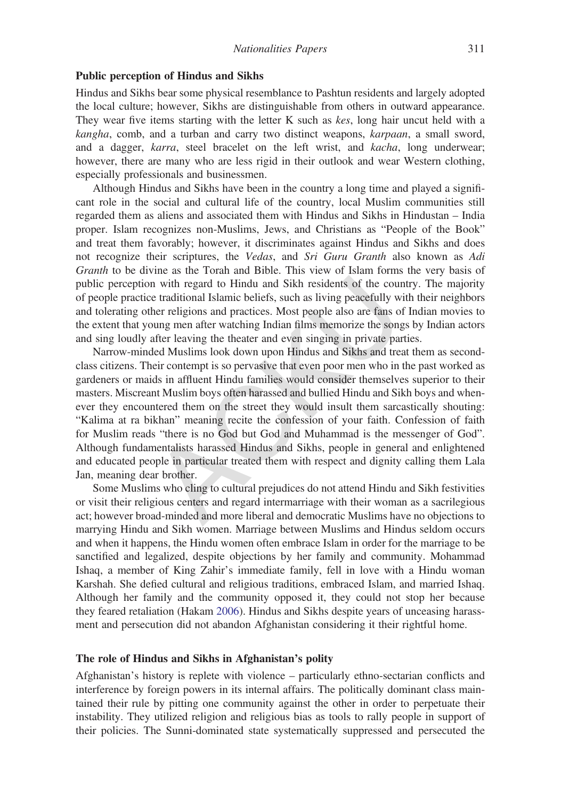### Public perception of Hindus and Sikhs

Hindus and Sikhs bear some physical resemblance to Pashtun residents and largely adopted the local culture; however, Sikhs are distinguishable from others in outward appearance. They wear five items starting with the letter K such as kes, long hair uncut held with a kangha, comb, and a turban and carry two distinct weapons, karpaan, a small sword, and a dagger, karra, steel bracelet on the left wrist, and kacha, long underwear; however, there are many who are less rigid in their outlook and wear Western clothing, especially professionals and businessmen.

Although Hindus and Sikhs have been in the country a long time and played a significant role in the social and cultural life of the country, local Muslim communities still regarded them as aliens and associated them with Hindus and Sikhs in Hindustan – India proper. Islam recognizes non-Muslims, Jews, and Christians as "People of the Book" and treat them favorably; however, it discriminates against Hindus and Sikhs and does not recognize their scriptures, the Vedas, and Sri Guru Granth also known as Adi Granth to be divine as the Torah and Bible. This view of Islam forms the very basis of public perception with regard to Hindu and Sikh residents of the country. The majority of people practice traditional Islamic beliefs, such as living peacefully with their neighbors and tolerating other religions and practices. Most people also are fans of Indian movies to the extent that young men after watching Indian films memorize the songs by Indian actors and sing loudly after leaving the theater and even singing in private parties.

Narrow-minded Muslims look down upon Hindus and Sikhs and treat them as secondclass citizens. Their contempt is so pervasive that even poor men who in the past worked as gardeners or maids in affluent Hindu families would consider themselves superior to their masters. Miscreant Muslim boys often harassed and bullied Hindu and Sikh boys and whenever they encountered them on the street they would insult them sarcastically shouting: "Kalima at ra bikhan" meaning recite the confession of your faith. Confession of faith for Muslim reads "there is no God but God and Muhammad is the messenger of God". Although fundamentalists harassed Hindus and Sikhs, people in general and enlightened and educated people in particular treated them with respect and dignity calling them Lala Jan, meaning dear brother. n with regard to Hindu and Sikh residents of the course traditional Islamic beliefs, such as living peacefully w<br>her religions and practices. Most people also are fans o<br>bung men after watching Indian films memorize the so

Some Muslims who cling to cultural prejudices do not attend Hindu and Sikh festivities or visit their religious centers and regard intermarriage with their woman as a sacrilegious act; however broad-minded and more liberal and democratic Muslims have no objections to marrying Hindu and Sikh women. Marriage between Muslims and Hindus seldom occurs and when it happens, the Hindu women often embrace Islam in order for the marriage to be sanctified and legalized, despite objections by her family and community. Mohammad Ishaq, a member of King Zahir's immediate family, fell in love with a Hindu woman Karshah. She defied cultural and religious traditions, embraced Islam, and married Ishaq. Although her family and the community opposed it, they could not stop her because they feared retaliation (Hakam [2006](#page-14-0)). Hindus and Sikhs despite years of unceasing harassment and persecution did not abandon Afghanistan considering it their rightful home.

#### The role of Hindus and Sikhs in Afghanistan's polity

Afghanistan's history is replete with violence – particularly ethno-sectarian conflicts and interference by foreign powers in its internal affairs. The politically dominant class maintained their rule by pitting one community against the other in order to perpetuate their instability. They utilized religion and religious bias as tools to rally people in support of their policies. The Sunni-dominated state systematically suppressed and persecuted the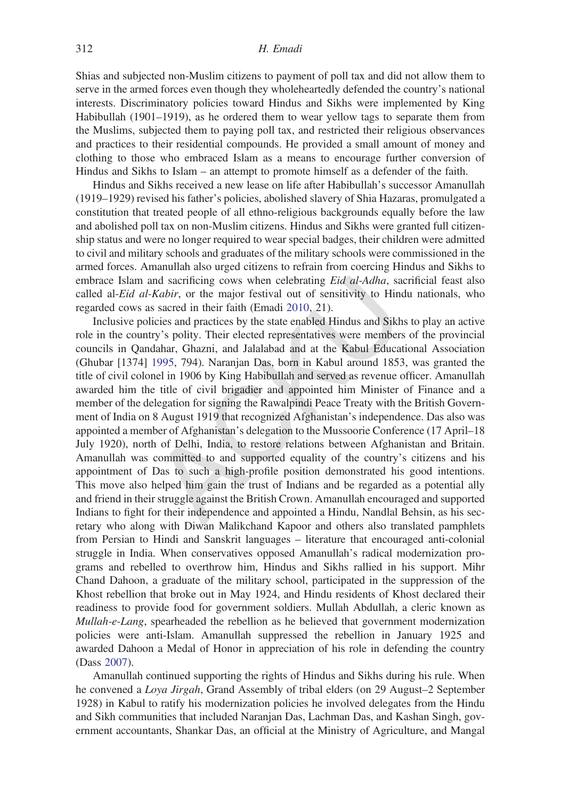Shias and subjected non-Muslim citizens to payment of poll tax and did not allow them to serve in the armed forces even though they wholeheartedly defended the country's national interests. Discriminatory policies toward Hindus and Sikhs were implemented by King Habibullah (1901–1919), as he ordered them to wear yellow tags to separate them from the Muslims, subjected them to paying poll tax, and restricted their religious observances and practices to their residential compounds. He provided a small amount of money and clothing to those who embraced Islam as a means to encourage further conversion of Hindus and Sikhs to Islam – an attempt to promote himself as a defender of the faith.

Hindus and Sikhs received a new lease on life after Habibullah's successor Amanullah (1919–1929) revised his father's policies, abolished slavery of Shia Hazaras, promulgated a constitution that treated people of all ethno-religious backgrounds equally before the law and abolished poll tax on non-Muslim citizens. Hindus and Sikhs were granted full citizenship status and were no longer required to wear special badges, their children were admitted to civil and military schools and graduates of the military schools were commissioned in the armed forces. Amanullah also urged citizens to refrain from coercing Hindus and Sikhs to embrace Islam and sacrificing cows when celebrating *Eid al-Adha*, sacrificial feast also called al-Eid al-Kabir, or the major festival out of sensitivity to Hindu nationals, who regarded cows as sacred in their faith (Emadi 2010, 21).

Inclusive policies and practices by the state enabled Hindus and Sikhs to play an active role in the country's polity. Their elected representatives were members of the provincial councils in Qandahar, Ghazni, and Jalalabad and at the Kabul Educational Association (Ghubar [1374] 1995, 794). Naranjan Das, born in Kabul around 1853, was granted the title of civil colonel in 1906 by King Habibullah and served as revenue officer. Amanullah awarded him the title of civil brigadier and appointed him Minister of Finance and a member of the delegation for signing the Rawalpindi Peace Treaty with the British Government of India on 8 August 1919 that recognized Afghanistan's independence. Das also was appointed a member of Afghanistan's delegation to the Mussoorie Conference (17 April–18 July 1920), north of Delhi, India, to restore relations between Afghanistan and Britain. Amanullah was committed to and supported equality of the country's citizens and his appointment of Das to such a high-profile position demonstrated his good intentions. This move also helped him gain the trust of Indians and be regarded as a potential ally and friend in their struggle against the British Crown. Amanullah encouraged and supported Indians to fight for their independence and appointed a Hindu, Nandlal Behsin, as his secretary who along with Diwan Malikchand Kapoor and others also translated pamphlets from Persian to Hindi and Sanskrit languages – literature that encouraged anti-colonial struggle in India. When conservatives opposed Amanullah's radical modernization programs and rebelled to overthrow him, Hindus and Sikhs rallied in his support. Mihr Chand Dahoon, a graduate of the military school, participated in the suppression of the Khost rebellion that broke out in May 1924, and Hindu residents of Khost declared their readiness to provide food for government soldiers. Mullah Abdullah, a cleric known as Mullah-e-Lang, spearheaded the rebellion as he believed that government modernization policies were anti-Islam. Amanullah suppressed the rebellion in January 1925 and awarded Dahoon a Medal of Honor in appreciation of his role in defending the country (Dass [2007](#page-14-0)). and sacrificing cows when celebrating *Eid al-Adha*, sa<br>*Kabir*, or the major festival out of sensitivity to Hins<br>s sacred in their faith (Emadi 2010, 21).<br>licies and practices by the state enabled Hindus and Sikk<br>try's po

Amanullah continued supporting the rights of Hindus and Sikhs during his rule. When he convened a Loya Jirgah, Grand Assembly of tribal elders (on 29 August–2 September 1928) in Kabul to ratify his modernization policies he involved delegates from the Hindu and Sikh communities that included Naranjan Das, Lachman Das, and Kashan Singh, government accountants, Shankar Das, an official at the Ministry of Agriculture, and Mangal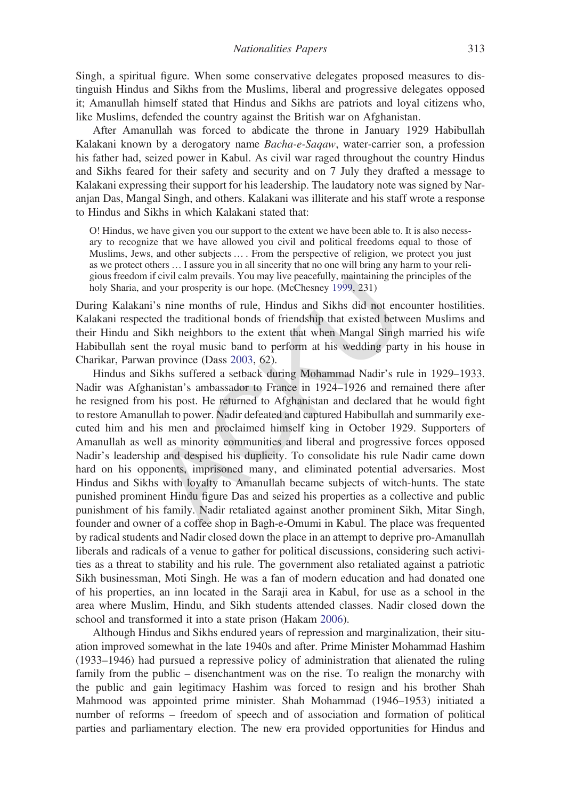Singh, a spiritual figure. When some conservative delegates proposed measures to distinguish Hindus and Sikhs from the Muslims, liberal and progressive delegates opposed it; Amanullah himself stated that Hindus and Sikhs are patriots and loyal citizens who, like Muslims, defended the country against the British war on Afghanistan.

After Amanullah was forced to abdicate the throne in January 1929 Habibullah Kalakani known by a derogatory name Bacha-e-Saqaw, water-carrier son, a profession his father had, seized power in Kabul. As civil war raged throughout the country Hindus and Sikhs feared for their safety and security and on 7 July they drafted a message to Kalakani expressing their support for his leadership. The laudatory note was signed by Naranjan Das, Mangal Singh, and others. Kalakani was illiterate and his staff wrote a response to Hindus and Sikhs in which Kalakani stated that:

O! Hindus, we have given you our support to the extent we have been able to. It is also necessary to recognize that we have allowed you civil and political freedoms equal to those of Muslims, Jews, and other subjects … . From the perspective of religion, we protect you just as we protect others … I assure you in all sincerity that no one will bring any harm to your religious freedom if civil calm prevails. You may live peacefully, maintaining the principles of the holy Sharia, and your prosperity is our hope. (McChesney 1999, 231)

During Kalakani's nine months of rule, Hindus and Sikhs did not encounter hostilities. Kalakani respected the traditional bonds of friendship that existed between Muslims and their Hindu and Sikh neighbors to the extent that when Mangal Singh married his wife Habibullah sent the royal music band to perform at his wedding party in his house in Charikar, Parwan province (Dass 2003, 62).

Hindus and Sikhs suffered a setback during Mohammad Nadir's rule in 1929–1933. Nadir was Afghanistan's ambassador to France in 1924–1926 and remained there after he resigned from his post. He returned to Afghanistan and declared that he would fight to restore Amanullah to power. Nadir defeated and captured Habibullah and summarily executed him and his men and proclaimed himself king in October 1929. Supporters of Amanullah as well as minority communities and liberal and progressive forces opposed Nadir's leadership and despised his duplicity. To consolidate his rule Nadir came down hard on his opponents, imprisoned many, and eliminated potential adversaries. Most Hindus and Sikhs with loyalty to Amanullah became subjects of witch-hunts. The state punished prominent Hindu figure Das and seized his properties as a collective and public punishment of his family. Nadir retaliated against another prominent Sikh, Mitar Singh, founder and owner of a coffee shop in Bagh-e-Omumi in Kabul. The place was frequented by radical students and Nadir closed down the place in an attempt to deprive pro-Amanullah liberals and radicals of a venue to gather for political discussions, considering such activities as a threat to stability and his rule. The government also retaliated against a patriotic Sikh businessman, Moti Singh. He was a fan of modern education and had donated one of his properties, an inn located in the Saraji area in Kabul, for use as a school in the area where Muslim, Hindu, and Sikh students attended classes. Nadir closed down the school and transformed it into a state prison (Hakam [2006\)](#page-14-0). If civil calm prevails. Foll may live peacetility, maintaining the<br>d your prosperity is our hope. (McChesney 1999, 231)<br>i's nine months of rule, Hindus and Sikhs did not ene<br>ted the traditional bonds of friendship that exi

Although Hindus and Sikhs endured years of repression and marginalization, their situation improved somewhat in the late 1940s and after. Prime Minister Mohammad Hashim (1933–1946) had pursued a repressive policy of administration that alienated the ruling family from the public – disenchantment was on the rise. To realign the monarchy with the public and gain legitimacy Hashim was forced to resign and his brother Shah Mahmood was appointed prime minister. Shah Mohammad (1946–1953) initiated a number of reforms – freedom of speech and of association and formation of political parties and parliamentary election. The new era provided opportunities for Hindus and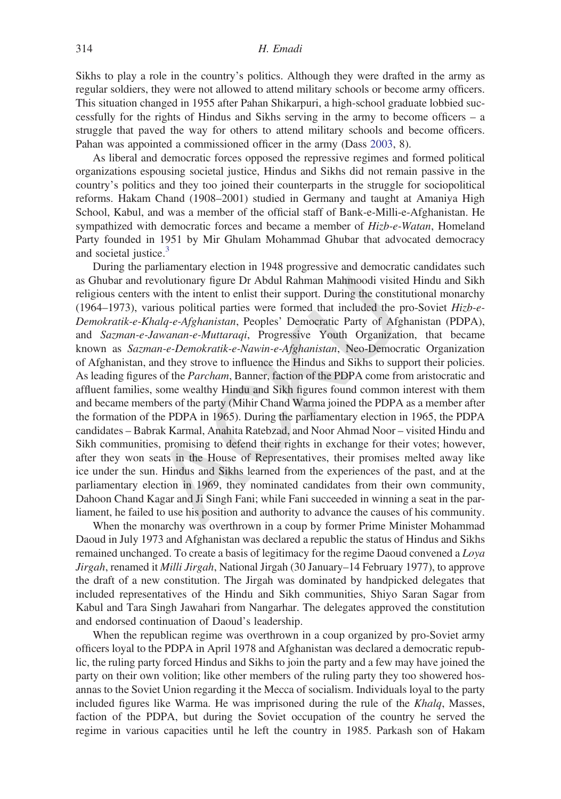Sikhs to play a role in the country's politics. Although they were drafted in the army as regular soldiers, they were not allowed to attend military schools or become army officers. This situation changed in 1955 after Pahan Shikarpuri, a high-school graduate lobbied successfully for the rights of Hindus and Sikhs serving in the army to become officers – a struggle that paved the way for others to attend military schools and become officers. Pahan was appointed a commissioned officer in the army (Dass [2003,](#page-14-0) 8).

As liberal and democratic forces opposed the repressive regimes and formed political organizations espousing societal justice, Hindus and Sikhs did not remain passive in the country's politics and they too joined their counterparts in the struggle for sociopolitical reforms. Hakam Chand (1908–2001) studied in Germany and taught at Amaniya High School, Kabul, and was a member of the official staff of Bank-e-Milli-e-Afghanistan. He sympathized with democratic forces and became a member of Hizb-e-Watan, Homeland Party founded in 1951 by Mir Ghulam Mohammad Ghubar that advocated democracy and societal justice.<sup>3</sup>

During the parliamentary election in 1948 progressive and democratic candidates such as Ghubar and revolutionary figure Dr Abdul Rahman Mahmoodi visited Hindu and Sikh religious centers with the intent to enlist their support. During the constitutional monarchy (1964–1973), various political parties were formed that included the pro-Soviet  $Hizb-e$ -Demokratik-e-Khalq-e-Afghanistan, Peoples' Democratic Party of Afghanistan (PDPA), and Sazman-e-Jawanan-e-Muttaraqi, Progressive Youth Organization, that became known as Sazman-e-Demokratik-e-Nawin-e-Afghanistan, Neo-Democratic Organization of Afghanistan, and they strove to influence the Hindus and Sikhs to support their policies. As leading figures of the Parcham, Banner, faction of the PDPA come from aristocratic and affluent families, some wealthy Hindu and Sikh figures found common interest with them and became members of the party (Mihir Chand Warma joined the PDPA as a member after the formation of the PDPA in 1965). During the parliamentary election in 1965, the PDPA candidates – Babrak Karmal, Anahita Ratebzad, and Noor Ahmad Noor – visited Hindu and Sikh communities, promising to defend their rights in exchange for their votes; however, after they won seats in the House of Representatives, their promises melted away like ice under the sun. Hindus and Sikhs learned from the experiences of the past, and at the parliamentary election in 1969, they nominated candidates from their own community, Dahoon Chand Kagar and Ji Singh Fani; while Fani succeeded in winning a seat in the parliament, he failed to use his position and authority to advance the causes of his community. evolutionary figure Dr Abdul Rahman Mahmoodi visite<br>with the intent to enlist their support. During the consti<br>arious political parties were formed that included the p<br>*halq-e-Afghanistan*, Peoples' Democratic Party of Afg

When the monarchy was overthrown in a coup by former Prime Minister Mohammad Daoud in July 1973 and Afghanistan was declared a republic the status of Hindus and Sikhs remained unchanged. To create a basis of legitimacy for the regime Daoud convened a Loya Jirgah, renamed it Milli Jirgah, National Jirgah (30 January–14 February 1977), to approve the draft of a new constitution. The Jirgah was dominated by handpicked delegates that included representatives of the Hindu and Sikh communities, Shiyo Saran Sagar from Kabul and Tara Singh Jawahari from Nangarhar. The delegates approved the constitution and endorsed continuation of Daoud's leadership.

When the republican regime was overthrown in a coup organized by pro-Soviet army officers loyal to the PDPA in April 1978 and Afghanistan was declared a democratic republic, the ruling party forced Hindus and Sikhs to join the party and a few may have joined the party on their own volition; like other members of the ruling party they too showered hosannas to the Soviet Union regarding it the Mecca of socialism. Individuals loyal to the party included figures like Warma. He was imprisoned during the rule of the Khalq, Masses, faction of the PDPA, but during the Soviet occupation of the country he served the regime in various capacities until he left the country in 1985. Parkash son of Hakam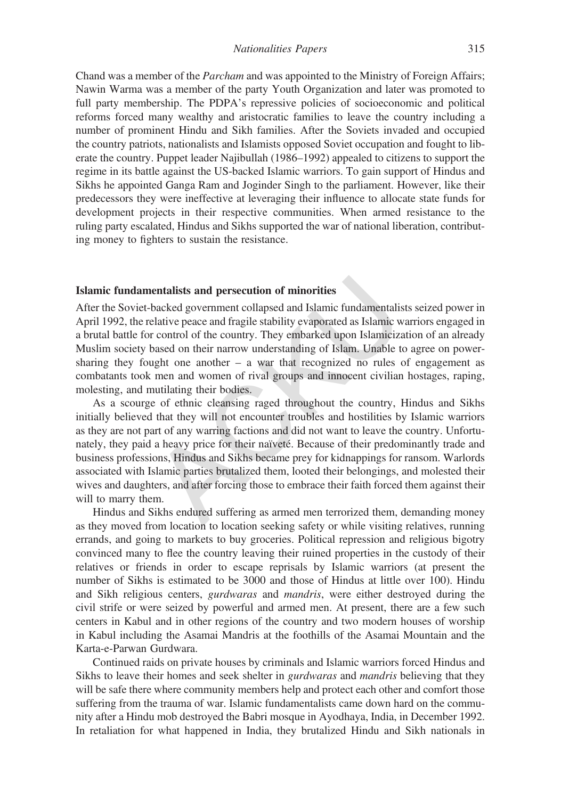Chand was a member of the Parcham and was appointed to the Ministry of Foreign Affairs; Nawin Warma was a member of the party Youth Organization and later was promoted to full party membership. The PDPA's repressive policies of socioeconomic and political reforms forced many wealthy and aristocratic families to leave the country including a number of prominent Hindu and Sikh families. After the Soviets invaded and occupied the country patriots, nationalists and Islamists opposed Soviet occupation and fought to liberate the country. Puppet leader Najibullah (1986–1992) appealed to citizens to support the regime in its battle against the US-backed Islamic warriors. To gain support of Hindus and Sikhs he appointed Ganga Ram and Joginder Singh to the parliament. However, like their predecessors they were ineffective at leveraging their influence to allocate state funds for development projects in their respective communities. When armed resistance to the ruling party escalated, Hindus and Sikhs supported the war of national liberation, contributing money to fighters to sustain the resistance.

#### Islamic fundamentalists and persecution of minorities

After the Soviet-backed government collapsed and Islamic fundamentalists seized power in April 1992, the relative peace and fragile stability evaporated as Islamic warriors engaged in a brutal battle for control of the country. They embarked upon Islamicization of an already Muslim society based on their narrow understanding of Islam. Unable to agree on powersharing they fought one another – a war that recognized no rules of engagement as combatants took men and women of rival groups and innocent civilian hostages, raping, molesting, and mutilating their bodies.

As a scourge of ethnic cleansing raged throughout the country, Hindus and Sikhs initially believed that they will not encounter troubles and hostilities by Islamic warriors as they are not part of any warring factions and did not want to leave the country. Unfortunately, they paid a heavy price for their naïveté. Because of their predominantly trade and business professions, Hindus and Sikhs became prey for kidnappings for ransom. Warlords associated with Islamic parties brutalized them, looted their belongings, and molested their wives and daughters, and after forcing those to embrace their faith forced them against their will to marry them. **Example 12**<br> **Example 12**<br> **Example 12**<br> **Example 12**<br> **Example 12**<br> **Example 12**<br> **Example 12**<br> **Example 12**<br> **Example 12**<br> **Example 12**<br> **Example 12**<br> **Example 12**<br> **Example 12**<br> **Example 12**<br> **Example 12**<br> **Example 12** 

Hindus and Sikhs endured suffering as armed men terrorized them, demanding money as they moved from location to location seeking safety or while visiting relatives, running errands, and going to markets to buy groceries. Political repression and religious bigotry convinced many to flee the country leaving their ruined properties in the custody of their relatives or friends in order to escape reprisals by Islamic warriors (at present the number of Sikhs is estimated to be 3000 and those of Hindus at little over 100). Hindu and Sikh religious centers, gurdwaras and mandris, were either destroyed during the civil strife or were seized by powerful and armed men. At present, there are a few such centers in Kabul and in other regions of the country and two modern houses of worship in Kabul including the Asamai Mandris at the foothills of the Asamai Mountain and the Karta-e-Parwan Gurdwara.

Continued raids on private houses by criminals and Islamic warriors forced Hindus and Sikhs to leave their homes and seek shelter in *gurdwaras* and *mandris* believing that they will be safe there where community members help and protect each other and comfort those suffering from the trauma of war. Islamic fundamentalists came down hard on the community after a Hindu mob destroyed the Babri mosque in Ayodhaya, India, in December 1992. In retaliation for what happened in India, they brutalized Hindu and Sikh nationals in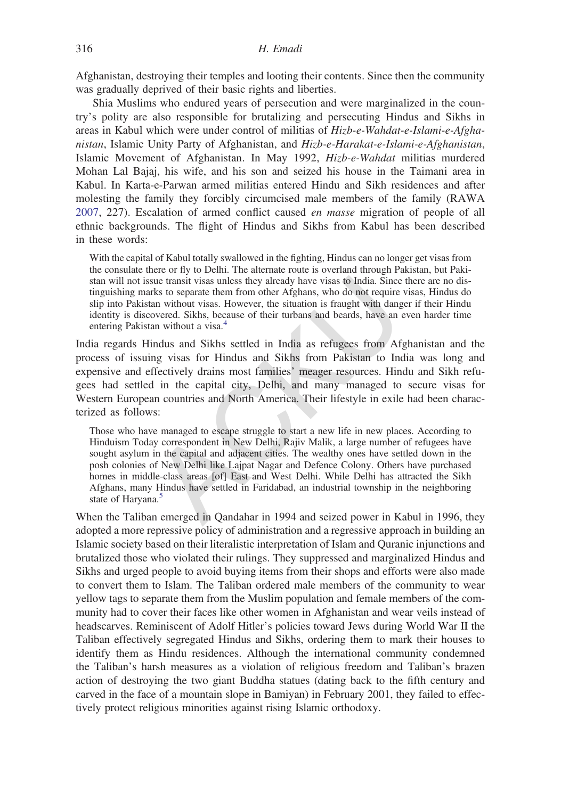Afghanistan, destroying their temples and looting their contents. Since then the community was gradually deprived of their basic rights and liberties.

Shia Muslims who endured years of persecution and were marginalized in the country's polity are also responsible for brutalizing and persecuting Hindus and Sikhs in areas in Kabul which were under control of militias of Hizb-e-Wahdat-e-Islami-e-Afghanistan, Islamic Unity Party of Afghanistan, and Hizb-e-Harakat-e-Islami-e-Afghanistan, Islamic Movement of Afghanistan. In May 1992, Hizb-e-Wahdat militias murdered Mohan Lal Bajaj, his wife, and his son and seized his house in the Taimani area in Kabul. In Karta-e-Parwan armed militias entered Hindu and Sikh residences and after molesting the family they forcibly circumcised male members of the family (RAWA [2007,](#page-14-0) 227). Escalation of armed conflict caused en masse migration of people of all ethnic backgrounds. The flight of Hindus and Sikhs from Kabul has been described in these words:

With the capital of Kabul totally swallowed in the fighting, Hindus can no longer get visas from the consulate there or fly to Delhi. The alternate route is overland through Pakistan, but Pakistan will not issue transit visas unless they already have visas to India. Since there are no distinguishing marks to separate them from other Afghans, who do not require visas, Hindus do slip into Pakistan without visas. However, the situation is fraught with danger if their Hindu identity is discovered. Sikhs, because of their turbans and beards, have an even harder time entering Pakistan without a visa.<sup>4</sup>

India regards Hindus and Sikhs settled in India as refugees from Afghanistan and the process of issuing visas for Hindus and Sikhs from Pakistan to India was long and expensive and effectively drains most families' meager resources. Hindu and Sikh refugees had settled in the capital city, Delhi, and many managed to secure visas for Western European countries and North America. Their lifestyle in exile had been characterized as follows:

Those who have managed to escape struggle to start a new life in new places. According to Hinduism Today correspondent in New Delhi, Rajiv Malik, a large number of refugees have sought asylum in the capital and adjacent cities. The wealthy ones have settled down in the posh colonies of New Delhi like Lajpat Nagar and Defence Colony. Others have purchased homes in middle-class areas [of] East and West Delhi. While Delhi has attracted the Sikh Afghans, many Hindus have settled in Faridabad, an industrial township in the neighboring state of Haryana.<sup>5</sup> sue transit visas unless they already have visas to India. Since<br>rks to separate them from other [A](#page-14-0)fghans, who do not require<br>an without visas. However, the situation is fraught with dang<br>overed. Sikhs, because of their tur

When the Taliban emerged in Qandahar in 1994 and seized power in Kabul in 1996, they adopted a more repressive policy of administration and a regressive approach in building an Islamic society based on their literalistic interpretation of Islam and Quranic injunctions and brutalized those who violated their rulings. They suppressed and marginalized Hindus and Sikhs and urged people to avoid buying items from their shops and efforts were also made to convert them to Islam. The Taliban ordered male members of the community to wear yellow tags to separate them from the Muslim population and female members of the community had to cover their faces like other women in Afghanistan and wear veils instead of headscarves. Reminiscent of Adolf Hitler's policies toward Jews during World War II the Taliban effectively segregated Hindus and Sikhs, ordering them to mark their houses to identify them as Hindu residences. Although the international community condemned the Taliban's harsh measures as a violation of religious freedom and Taliban's brazen action of destroying the two giant Buddha statues (dating back to the fifth century and carved in the face of a mountain slope in Bamiyan) in February 2001, they failed to effectively protect religious minorities against rising Islamic orthodoxy.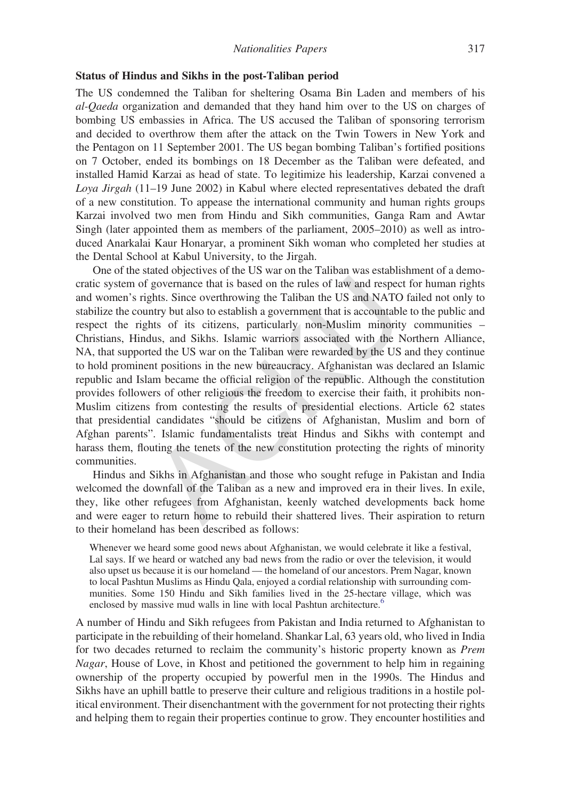## Status of Hindus and Sikhs in the post-Taliban period

The US condemned the Taliban for sheltering Osama Bin Laden and members of his al-Qaeda organization and demanded that they hand him over to the US on charges of bombing US embassies in Africa. The US accused the Taliban of sponsoring terrorism and decided to overthrow them after the attack on the Twin Towers in New York and the Pentagon on 11 September 2001. The US began bombing Taliban's fortified positions on 7 October, ended its bombings on 18 December as the Taliban were defeated, and installed Hamid Karzai as head of state. To legitimize his leadership, Karzai convened a Loya Jirgah (11–19 June 2002) in Kabul where elected representatives debated the draft of a new constitution. To appease the international community and human rights groups Karzai involved two men from Hindu and Sikh communities, Ganga Ram and Awtar Singh (later appointed them as members of the parliament, 2005–2010) as well as introduced Anarkalai Kaur Honaryar, a prominent Sikh woman who completed her studies at the Dental School at Kabul University, to the Jirgah.

One of the stated objectives of the US war on the Taliban was establishment of a democratic system of governance that is based on the rules of law and respect for human rights and women's rights. Since overthrowing the Taliban the US and NATO failed not only to stabilize the country but also to establish a government that is accountable to the public and respect the rights of its citizens, particularly non-Muslim minority communities – Christians, Hindus, and Sikhs. Islamic warriors associated with the Northern Alliance, NA, that supported the US war on the Taliban were rewarded by the US and they continue to hold prominent positions in the new bureaucracy. Afghanistan was declared an Islamic republic and Islam became the official religion of the republic. Although the constitution provides followers of other religious the freedom to exercise their faith, it prohibits non-Muslim citizens from contesting the results of presidential elections. Article 62 states that presidential candidates "should be citizens of Afghanistan, Muslim and born of Afghan parents". Islamic fundamentalists treat Hindus and Sikhs with contempt and harass them, flouting the tenets of the new constitution protecting the rights of minority communities. governance that is based on the rules of law and respections. Since overthrowing the Taliban the US and NATC shifts. Since overthrowing the Taliban the US and NATC shifts of its citizens, particularly non-Muslim minorit lu

Hindus and Sikhs in Afghanistan and those who sought refuge in Pakistan and India welcomed the downfall of the Taliban as a new and improved era in their lives. In exile, they, like other refugees from Afghanistan, keenly watched developments back home and were eager to return home to rebuild their shattered lives. Their aspiration to return to their homeland has been described as follows:

Whenever we heard some good news about Afghanistan, we would celebrate it like a festival, Lal says. If we heard or watched any bad news from the radio or over the television, it would also upset us because it is our homeland — the homeland of our ancestors. Prem Nagar, known to local Pashtun Muslims as Hindu Qala, enjoyed a cordial relationship with surrounding communities. Some 150 Hindu and Sikh families lived in the 25-hectare village, which was enclosed by massive mud walls in line with local Pashtun architecture.<sup>[6](#page-14-0)</sup>

A number of Hindu and Sikh refugees from Pakistan and India returned to Afghanistan to participate in the rebuilding of their homeland. Shankar Lal, 63 years old, who lived in India for two decades returned to reclaim the community's historic property known as Prem Nagar, House of Love, in Khost and petitioned the government to help him in regaining ownership of the property occupied by powerful men in the 1990s. The Hindus and Sikhs have an uphill battle to preserve their culture and religious traditions in a hostile political environment. Their disenchantment with the government for not protecting their rights and helping them to regain their properties continue to grow. They encounter hostilities and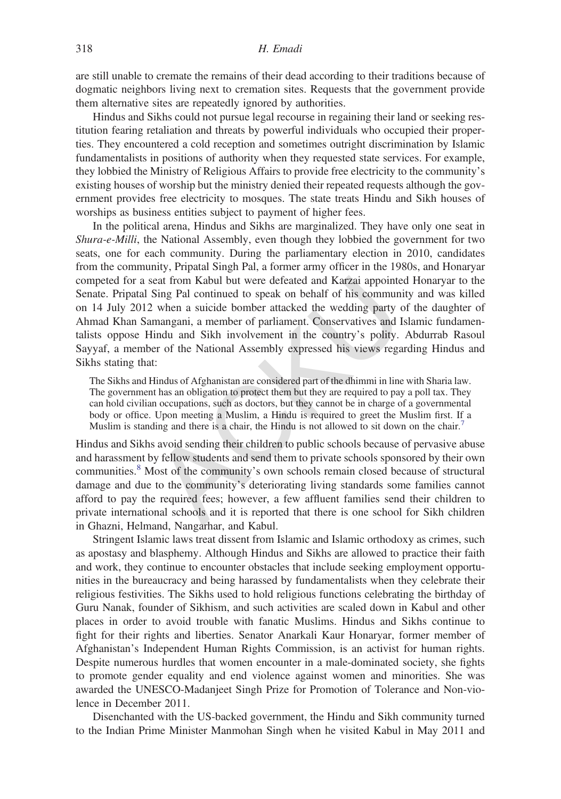are still unable to cremate the remains of their dead according to their traditions because of dogmatic neighbors living next to cremation sites. Requests that the government provide them alternative sites are repeatedly ignored by authorities.

Hindus and Sikhs could not pursue legal recourse in regaining their land or seeking restitution fearing retaliation and threats by powerful individuals who occupied their properties. They encountered a cold reception and sometimes outright discrimination by Islamic fundamentalists in positions of authority when they requested state services. For example, they lobbied the Ministry of Religious Affairs to provide free electricity to the community's existing houses of worship but the ministry denied their repeated requests although the government provides free electricity to mosques. The state treats Hindu and Sikh houses of worships as business entities subject to payment of higher fees.

In the political arena, Hindus and Sikhs are marginalized. They have only one seat in Shura-e-Milli, the National Assembly, even though they lobbied the government for two seats, one for each community. During the parliamentary election in 2010, candidates from the community, Pripatal Singh Pal, a former army officer in the 1980s, and Honaryar competed for a seat from Kabul but were defeated and Karzai appointed Honaryar to the Senate. Pripatal Sing Pal continued to speak on behalf of his community and was killed on 14 July 2012 when a suicide bomber attacked the wedding party of the daughter of Ahmad Khan Samangani, a member of parliament. Conservatives and Islamic fundamentalists oppose Hindu and Sikh involvement in the country's polity. Abdurrab Rasoul Sayyaf, a member of the National Assembly expressed his views regarding Hindus and Sikhs stating that: seat from Kabul but were defeated and Karzai appointe<br>Sing Pal continued to speak on behalf of his commun<br>2 when a suicide bomber attacked the wedding party of<br>mangani, a member of parliament. Conservatives and l<br>indu and

The Sikhs and Hindus of Afghanistan are considered part of the dhimmi in line with Sharia law. The government has an obligation to protect them but they are required to pay a poll tax. They can hold civilian occupations, such as doctors, but they cannot be in charge of a governmental body or office. Upon meeting a Muslim, a Hindu is required to greet the Muslim first. If a Muslim is standing and there is a chair, the Hindu is not allowed to sit down on the chair.<sup>[7](#page-14-0)</sup>

Hindus and Sikhs avoid sending their children to public schools because of pervasive abuse and harassment by fellow students and send them to private schools sponsored by their own communities.<sup>[8](#page-14-0)</sup> Most of the community's own schools remain closed because of structural damage and due to the community's deteriorating living standards some families cannot afford to pay the required fees; however, a few affluent families send their children to private international schools and it is reported that there is one school for Sikh children in Ghazni, Helmand, Nangarhar, and Kabul.

Stringent Islamic laws treat dissent from Islamic and Islamic orthodoxy as crimes, such as apostasy and blasphemy. Although Hindus and Sikhs are allowed to practice their faith and work, they continue to encounter obstacles that include seeking employment opportunities in the bureaucracy and being harassed by fundamentalists when they celebrate their religious festivities. The Sikhs used to hold religious functions celebrating the birthday of Guru Nanak, founder of Sikhism, and such activities are scaled down in Kabul and other places in order to avoid trouble with fanatic Muslims. Hindus and Sikhs continue to fight for their rights and liberties. Senator Anarkali Kaur Honaryar, former member of Afghanistan's Independent Human Rights Commission, is an activist for human rights. Despite numerous hurdles that women encounter in a male-dominated society, she fights to promote gender equality and end violence against women and minorities. She was awarded the UNESCO-Madanjeet Singh Prize for Promotion of Tolerance and Non-violence in December 2011.

Disenchanted with the US-backed government, the Hindu and Sikh community turned to the Indian Prime Minister Manmohan Singh when he visited Kabul in May 2011 and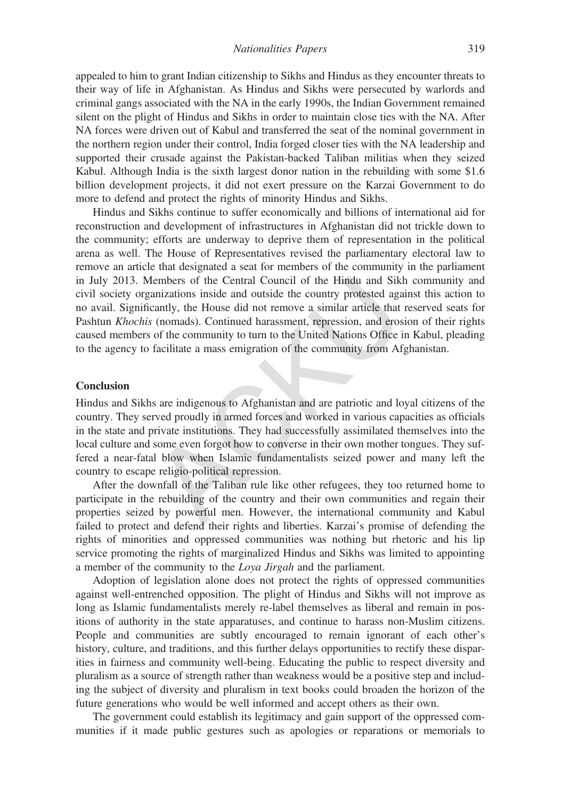appealed to him to grant Indian citizenship to Sikhs and Hindus as they encounter threats to their way of life in Afghanistan. As Hindus and Sikhs were persecuted by warlords and criminal gangs associated with the NA in the early 1990s, the Indian Government remained silent on the plight of Hindus and Sikhs in order to maintain close ties with the NA. After NA forces were driven out of Kabul and transferred the seat of the nominal government in the northern region under their control, India forged closer ties with the NA leadership and supported their crusade against the Pakistan-backed Taliban militias when they seized Kabul. Although India is the sixth largest donor nation in the rebuilding with some \$1.6 billion development projects, it did not exert pressure on the Karzai Government to do more to defend and protect the rights of minority Hindus and Sikhs.

Hindus and Sikhs continue to suffer economically and billions of international aid for reconstruction and development of infrastructures in Afghanistan did not trickle down to the community; efforts are underway to deprive them of representation in the political arena as well. The House of Representatives revised the parliamentary electoral law to remove an article that designated a seat for members of the community in the parliament in July 2013. Members of the Central Council of the Hindu and Sikh community and civil society organizations inside and outside the country protested against this action to no avail. Significantly, the House did not remove a similar article that reserved seats for Pashtun Khochis (nomads). Continued harassment, repression, and erosion of their rights caused members of the community to turn to the United Nations Office in Kabul, pleading to the agency to facilitate a mass emigration of the community from Afghanistan. Lembers of the Central Council of the Hindu and Sik<br>anizations inside and outside the country protested age<br>cantly, the House did not remove a similar article that<br>s (nomads). Continued harassment, repression, and eros<br>of

### **Conclusion**

Hindus and Sikhs are indigenous to Afghanistan and are patriotic and loyal citizens of the country. They served proudly in armed forces and worked in various capacities as officials in the state and private institutions. They had successfully assimilated themselves into the local culture and some even forgot how to converse in their own mother tongues. They suffered a near-fatal blow when Islamic fundamentalists seized power and many left the country to escape religio-political repression.

After the downfall of the Taliban rule like other refugees, they too returned home to participate in the rebuilding of the country and their own communities and regain their properties seized by powerful men. However, the international community and Kabul failed to protect and defend their rights and liberties. Karzai's promise of defending the rights of minorities and oppressed communities was nothing but rhetoric and his lip service promoting the rights of marginalized Hindus and Sikhs was limited to appointing a member of the community to the Loya Jirgah and the parliament.

Adoption of legislation alone does not protect the rights of oppressed communities against well-entrenched opposition. The plight of Hindus and Sikhs will not improve as long as Islamic fundamentalists merely re-label themselves as liberal and remain in positions of authority in the state apparatuses, and continue to harass non-Muslim citizens. People and communities are subtly encouraged to remain ignorant of each other's history, culture, and traditions, and this further delays opportunities to rectify these disparities in fairness and community well-being. Educating the public to respect diversity and pluralism as a source of strength rather than weakness would be a positive step and including the subject of diversity and pluralism in text books could broaden the horizon of the future generations who would be well informed and accept others as their own.

The government could establish its legitimacy and gain support of the oppressed communities if it made public gestures such as apologies or reparations or memorials to